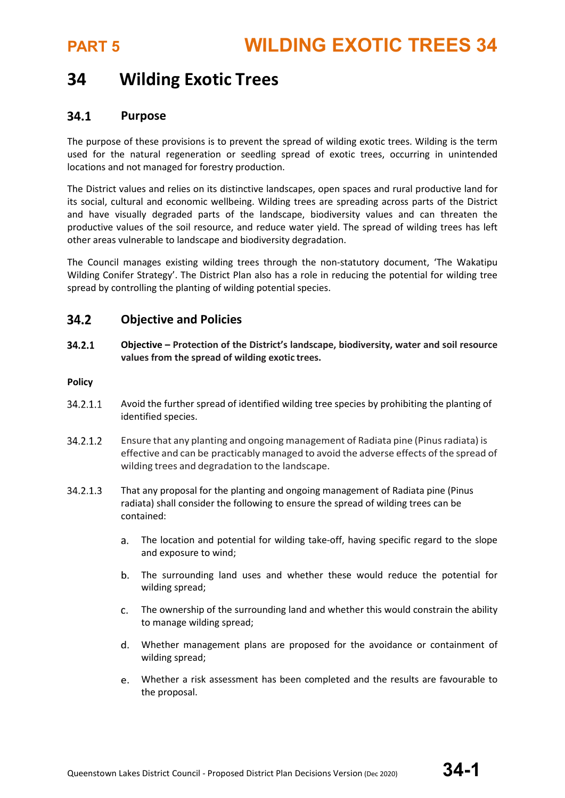## **34 Wilding Exotic Trees**

#### $34.1$ **Purpose**

The purpose of these provisions is to prevent the spread of wilding exotic trees. Wilding is the term used for the natural regeneration or seedling spread of exotic trees, occurring in unintended locations and not managed for forestry production.

The District values and relies on its distinctive landscapes, open spaces and rural productive land for its social, cultural and economic wellbeing. Wilding trees are spreading across parts of the District and have visually degraded parts of the landscape, biodiversity values and can threaten the productive values of the soil resource, and reduce water yield. The spread of wilding trees has left other areas vulnerable to landscape and biodiversity degradation.

The Council manages existing wilding trees through the non-statutory document, 'The Wakatipu Wilding Conifer Strategy'. The District Plan also has a role in reducing the potential for wilding tree spread by controlling the planting of wilding potential species.

#### $34.2$ **Objective and Policies**

 $34.2.1$ **Objective – Protection of the District's landscape, biodiversity, water and soil resource values from the spread of wilding exotic trees.**

## **Policy**

- 34.2.1.1 Avoid the further spread of identified wilding tree species by prohibiting the planting of identified species.
- 34.2.1.2 Ensure that any planting and ongoing management of Radiata pine (Pinusradiata) is effective and can be practicably managed to avoid the adverse effects of the spread of wilding trees and degradation to the landscape.
- 34.2.1.3 That any proposal for the planting and ongoing management of Radiata pine (Pinus radiata) shall consider the following to ensure the spread of wilding trees can be contained:
	- The location and potential for wilding take-off, having specific regard to the slope and exposure to wind;
	- b. The surrounding land uses and whether these would reduce the potential for wilding spread;
	- The ownership of the surrounding land and whether this would constrain the ability to manage wilding spread;
	- Whether management plans are proposed for the avoidance or containment of wilding spread;
	- Whether a risk assessment has been completed and the results are favourable to the proposal.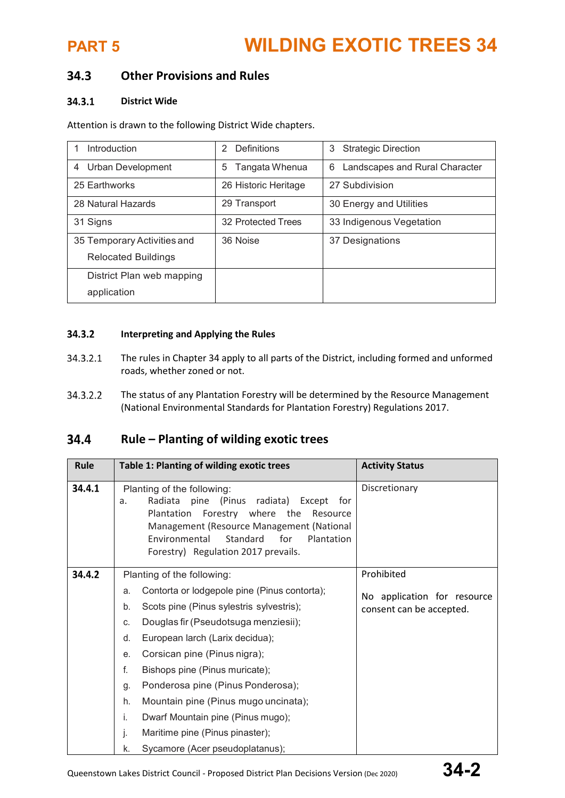# **PART 5 WILDING EXOTIC TREES 34**

### 34.3 **Other Provisions and Rules**

#### $34.3.1$ **District Wide**

Attention is drawn to the following District Wide chapters.

| Introduction                | Definitions<br>2     | <b>Strategic Direction</b><br>3     |
|-----------------------------|----------------------|-------------------------------------|
| Urban Development<br>4      | Tangata Whenua<br>5  | Landscapes and Rural Character<br>6 |
| 25 Earthworks               | 26 Historic Heritage | 27 Subdivision                      |
| 28 Natural Hazards          | 29 Transport         | 30 Energy and Utilities             |
| 31 Signs                    | 32 Protected Trees   | 33 Indigenous Vegetation            |
| 35 Temporary Activities and | 36 Noise             | 37 Designations                     |
| <b>Relocated Buildings</b>  |                      |                                     |
| District Plan web mapping   |                      |                                     |
| application                 |                      |                                     |

#### 34.3.2 **Interpreting and Applying the Rules**

- 34.3.2.1 The rules in Chapter 34 apply to all parts of the District, including formed and unformed roads, whether zoned or not.
- 34.3.2.2 The status of any Plantation Forestry will be determined by the Resource Management (National Environmental Standards for Plantation Forestry) Regulations 2017.

### **Rule – Planting of wilding exotic trees** 34.4

| Rule   | Table 1: Planting of wilding exotic trees                                                                                                                                                                                                                                                                                                                                                                                                                                                                                     | <b>Activity Status</b>                                                |
|--------|-------------------------------------------------------------------------------------------------------------------------------------------------------------------------------------------------------------------------------------------------------------------------------------------------------------------------------------------------------------------------------------------------------------------------------------------------------------------------------------------------------------------------------|-----------------------------------------------------------------------|
| 34.4.1 | Planting of the following:<br>radiata)<br>Radiata<br>pine<br>(Pinus<br>Except for<br>a.<br>Forestry where the<br>Plantation<br>Resource<br>Management (Resource Management (National<br>Standard<br>for<br>Environmental<br>Plantation<br>Forestry) Regulation 2017 prevails.                                                                                                                                                                                                                                                 | Discretionary                                                         |
| 34.4.2 | Planting of the following:<br>Contorta or lodgepole pine (Pinus contorta);<br>a.<br>Scots pine (Pinus sylestris sylvestris);<br>b.<br>Douglas fir (Pseudotsuga menziesii);<br>C.<br>European larch (Larix decidua);<br>d.<br>Corsican pine (Pinus nigra);<br>е.<br>f.<br>Bishops pine (Pinus muricate);<br>Ponderosa pine (Pinus Ponderosa);<br>g.<br>h.<br>Mountain pine (Pinus mugo uncinata);<br>i.<br>Dwarf Mountain pine (Pinus mugo);<br>Maritime pine (Pinus pinaster);<br>j.<br>Sycamore (Acer pseudoplatanus);<br>k. | Prohibited<br>No application for resource<br>consent can be accepted. |